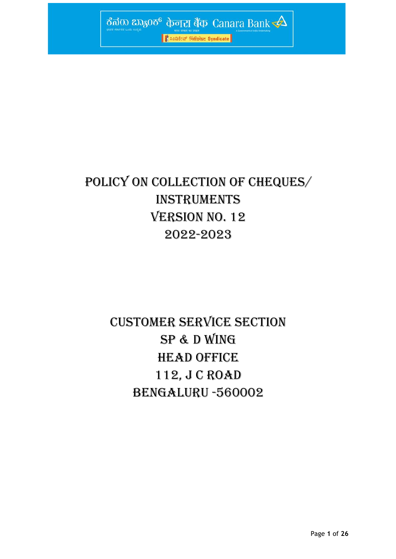

# POLICY ON COLLECTION OF CHEQUES/ INSTRUMENTS **VERSION NO. 12** 2022-2023

# CUSTOMER SERVICE SECTION SP & D Wing HEAD OFFICE 112, J C ROAD BENGALURU -560002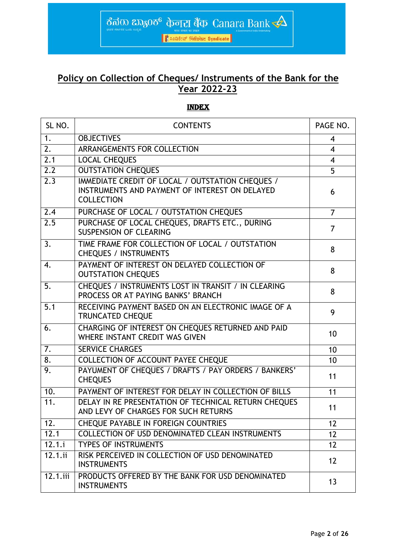## **Policy on Collection of Cheques/ Instruments of the Bank for the Year 2022-23**

ಕೆನರು ಬ್ಯಾಂಕ್ ф<del>ொ</del> ತಿಡ Canara Bank

● 第20日数学 在日本 Syndicate

INDEX

| SL NO.           | <b>CONTENTS</b>                                                                                                         | PAGE NO.       |
|------------------|-------------------------------------------------------------------------------------------------------------------------|----------------|
| 1.               | <b>OBJECTIVES</b>                                                                                                       | $\overline{4}$ |
| 2.               | ARRANGEMENTS FOR COLLECTION                                                                                             | $\overline{4}$ |
| 2.1              | <b>LOCAL CHEQUES</b>                                                                                                    | $\overline{4}$ |
| $\overline{2.2}$ | <b>OUTSTATION CHEQUES</b>                                                                                               | 5              |
| 2.3              | IMMEDIATE CREDIT OF LOCAL / OUTSTATION CHEQUES /<br>INSTRUMENTS AND PAYMENT OF INTEREST ON DELAYED<br><b>COLLECTION</b> | 6              |
| 2.4              | PURCHASE OF LOCAL / OUTSTATION CHEQUES                                                                                  | $\overline{7}$ |
| 2.5              | PURCHASE OF LOCAL CHEQUES, DRAFTS ETC., DURING<br><b>SUSPENSION OF CLEARING</b>                                         | 7              |
| 3.               | TIME FRAME FOR COLLECTION OF LOCAL / OUTSTATION<br><b>CHEQUES / INSTRUMENTS</b>                                         | 8              |
| 4.               | PAYMENT OF INTEREST ON DELAYED COLLECTION OF<br><b>OUTSTATION CHEQUES</b>                                               | 8              |
| 5.               | CHEQUES / INSTRUMENTS LOST IN TRANSIT / IN CLEARING<br>PROCESS OR AT PAYING BANKS' BRANCH                               | 8              |
| 5.1              | RECEIVING PAYMENT BASED ON AN ELECTRONIC IMAGE OF A<br><b>TRUNCATED CHEQUE</b>                                          | 9              |
| 6.               | CHARGING OF INTEREST ON CHEQUES RETURNED AND PAID<br>WHERE INSTANT CREDIT WAS GIVEN                                     | 10             |
| 7.               | <b>SERVICE CHARGES</b>                                                                                                  | 10             |
| 8.               | COLLECTION OF ACCOUNT PAYEE CHEQUE                                                                                      | 10             |
| 9.               | PAYUMENT OF CHEQUES / DRAFTS / PAY ORDERS / BANKERS'<br><b>CHEQUES</b>                                                  | 11             |
| 10.              | PAYMENT OF INTEREST FOR DELAY IN COLLECTION OF BILLS                                                                    | 11             |
| 11.              | DELAY IN RE PRESENTATION OF TECHNICAL RETURN CHEQUES<br>AND LEVY OF CHARGES FOR SUCH RETURNS                            | 11             |
| 12.              | <b>CHEQUE PAYABLE IN FOREIGN COUNTRIES</b>                                                                              | 12             |
| 12.1             | COLLECTION OF USD DENOMINATED CLEAN INSTRUMENTS                                                                         | 12             |
| 12.1.i           | <b>TYPES OF INSTRUMENTS</b>                                                                                             | 12             |
| 12.1.1i          | RISK PERCEIVED IN COLLECTION OF USD DENOMINATED<br><b>INSTRUMENTS</b>                                                   | 12             |
| 12.1.iii         | PRODUCTS OFFERED BY THE BANK FOR USD DENOMINATED<br><b>INSTRUMENTS</b>                                                  | 13             |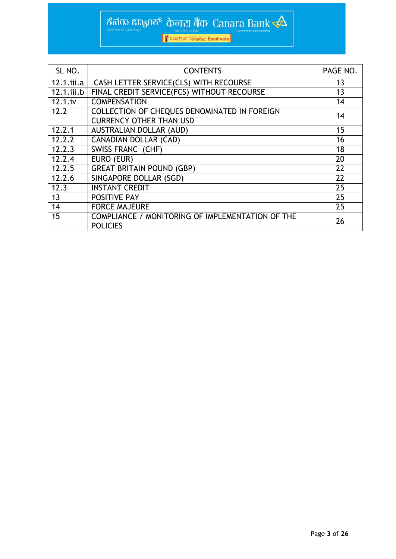| SL NO.        | <b>CONTENTS</b>                                                                | PAGE NO. |
|---------------|--------------------------------------------------------------------------------|----------|
| $12.1.$ iii.a | CASH LETTER SERVICE(CLS) WITH RECOURSE                                         | 13       |
| 12.1.iii.b    | FINAL CREDIT SERVICE(FCS) WITHOUT RECOURSE                                     | 13       |
| 12.1.iv       | <b>COMPENSATION</b>                                                            | 14       |
| 12.2          | COLLECTION OF CHEQUES DENOMINATED IN FOREIGN<br><b>CURRENCY OTHER THAN USD</b> | 14       |
| 12.2.1        | <b>AUSTRALIAN DOLLAR (AUD)</b>                                                 | 15       |
| 12.2.2        | <b>CANADIAN DOLLAR (CAD)</b>                                                   | 16       |
| 12.2.3        | SWISS FRANC (CHF)                                                              | 18       |
| 12.2.4        | EURO (EUR)                                                                     | 20       |
| 12.2.5        | <b>GREAT BRITAIN POUND (GBP)</b>                                               | 22       |
| 12.2.6        | SINGAPORE DOLLAR (SGD)                                                         | 22       |
| 12.3          | <b>INSTANT CREDIT</b>                                                          | 25       |
| 13            | <b>POSITIVE PAY</b>                                                            | 25       |
| 14            | <b>FORCE MAJEURE</b>                                                           | 25       |
| 15            | COMPLIANCE / MONITORING OF IMPLEMENTATION OF THE<br><b>POLICIES</b>            | 26       |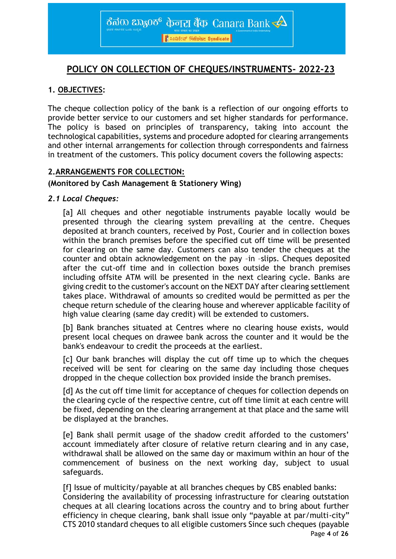## **POLICY ON COLLECTION OF CHEQUES/INSTRUMENTS- 2022-23**

## **1. OBJECTIVES:**

The cheque collection policy of the bank is a reflection of our ongoing efforts to provide better service to our customers and set higher standards for performance. The policy is based on principles of transparency, taking into account the technological capabilities, systems and procedure adopted for clearing arrangements and other internal arrangements for collection through correspondents and fairness in treatment of the customers. This policy document covers the following aspects:

## **2.ARRANGEMENTS FOR COLLECTION:**

## **(Monitored by Cash Management & Stationery Wing)**

## *2.1 Local Cheques:*

[a] All cheques and other negotiable instruments payable locally would be presented through the clearing system prevailing at the centre. Cheques deposited at branch counters, received by Post, Courier and in collection boxes within the branch premises before the specified cut off time will be presented for clearing on the same day. Customers can also tender the cheques at the counter and obtain acknowledgement on the pay –in –slips. Cheques deposited after the cut-off time and in collection boxes outside the branch premises including offsite ATM will be presented in the next clearing cycle. Banks are giving credit to the customer's account on the NEXT DAY after clearing settlement takes place. Withdrawal of amounts so credited would be permitted as per the cheque return schedule of the clearing house and wherever applicable facility of high value clearing (same day credit) will be extended to customers.

[b] Bank branches situated at Centres where no clearing house exists, would present local cheques on drawee bank across the counter and it would be the bank's endeavour to credit the proceeds at the earliest.

[c] Our bank branches will display the cut off time up to which the cheques received will be sent for clearing on the same day including those cheques dropped in the cheque collection box provided inside the branch premises.

[d] As the cut off time limit for acceptance of cheques for collection depends on the clearing cycle of the respective centre, cut off time limit at each centre will be fixed, depending on the clearing arrangement at that place and the same will be displayed at the branches.

[e] Bank shall permit usage of the shadow credit afforded to the customers' account immediately after closure of relative return clearing and in any case, withdrawal shall be allowed on the same day or maximum within an hour of the commencement of business on the next working day, subject to usual safeguards.

Page **4** of **26** [f] Issue of multicity/payable at all branches cheques by CBS enabled banks: Considering the availability of processing infrastructure for clearing outstation cheques at all clearing locations across the country and to bring about further efficiency in cheque clearing, bank shall issue only "payable at par/multi-city" CTS 2010 standard cheques to all eligible customers Since such cheques (payable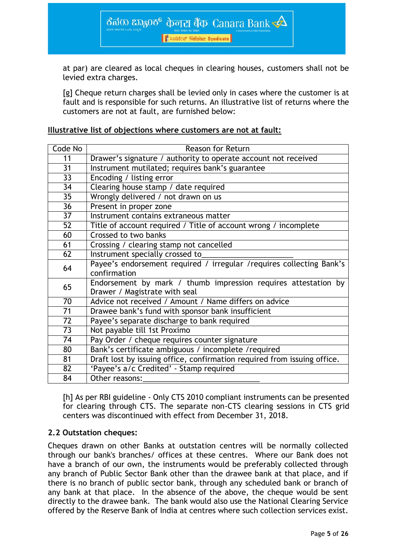R Louster Finsanz Syndicate

ಕೆನರು ಬ್ಯಾಂಕ್ केनरा बैंक Canara Bank $\prec\!\!\Delta$ 

at par) are cleared as local cheques in clearing houses, customers shall not be levied extra charges.

[g] Cheque return charges shall be levied only in cases where the customer is at fault and is responsible for such returns. An illustrative list of returns where the customers are not at fault, are furnished below:

#### **Illustrative list of objections where customers are not at fault:**

| Code No                                                              | Reason for Return                                                        |
|----------------------------------------------------------------------|--------------------------------------------------------------------------|
| 11                                                                   | Drawer's signature / authority to operate account not received           |
| $\overline{31}$                                                      | Instrument mutilated; requires bank's guarantee                          |
| $\overline{33}$                                                      | Encoding / listing error                                                 |
| 34                                                                   | Clearing house stamp / date required                                     |
| 35                                                                   | Wrongly delivered / not drawn on us                                      |
| 36                                                                   | Present in proper zone                                                   |
| 37                                                                   | Instrument contains extraneous matter                                    |
| 52                                                                   | Title of account required / Title of account wrong / incomplete          |
| 60                                                                   | Crossed to two banks                                                     |
| 61                                                                   | Crossing / clearing stamp not cancelled                                  |
| 62                                                                   | Instrument specially crossed to                                          |
| 64                                                                   | Payee's endorsement required / irregular / requires collecting Bank's    |
|                                                                      | confirmation                                                             |
| Endorsement by mark / thumb impression requires attestation by<br>65 |                                                                          |
|                                                                      | Drawer / Magistrate with seal                                            |
| 70                                                                   | Advice not received / Amount / Name differs on advice                    |
| 71                                                                   | Drawee bank's fund with sponsor bank insufficient                        |
| $\overline{72}$                                                      | Payee's separate discharge to bank required                              |
| 73                                                                   | Not payable till 1st Proximo                                             |
| 74                                                                   | Pay Order / cheque requires counter signature                            |
| 80                                                                   | Bank's certificate ambiguous / incomplete / required                     |
| 81                                                                   | Draft lost by issuing office, confirmation required from issuing office. |
| 82                                                                   | 'Payee's a/c Credited' - Stamp required                                  |
| 84                                                                   | Other reasons:                                                           |

[h] As per RBI guideline - Only CTS 2010 compliant instruments can be presented for clearing through CTS. The separate non-CTS clearing sessions in CTS grid centers was discontinued with effect from December 31, 2018.

## **2.2 Outstation cheques:**

Cheques drawn on other Banks at outstation centres will be normally collected through our bank's branches/ offices at these centres. Where our Bank does not have a branch of our own, the instruments would be preferably collected through any branch of Public Sector Bank other than the drawee bank at that place, and if there is no branch of public sector bank, through any scheduled bank or branch of any bank at that place. In the absence of the above, the cheque would be sent directly to the drawee bank. The bank would also use the National Clearing Service offered by the Reserve Bank of India at centres where such collection services exist.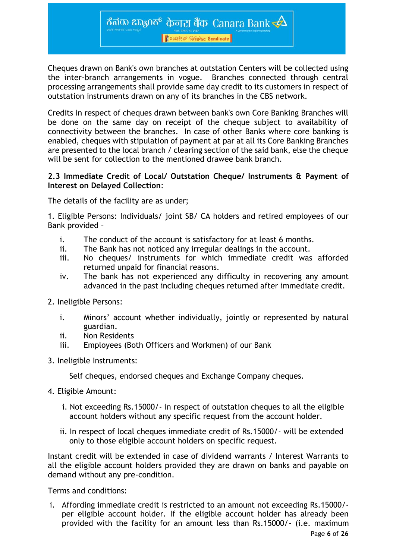<mark>।</mark> ਇਹ ਅਤੇ ਇਸ ਵਿੱਚ Syndicate

ಕೆನರು ಬ್ಯಾಂಕ್ केनरा बैंक Canara Bank $\overline{\blacktriangle}$ 

Cheques drawn on Bank's own branches at outstation Centers will be collected using the inter-branch arrangements in vogue. Branches connected through central processing arrangements shall provide same day credit to its customers in respect of outstation instruments drawn on any of its branches in the CBS network.

Credits in respect of cheques drawn between bank's own Core Banking Branches will be done on the same day on receipt of the cheque subject to availability of connectivity between the branches. In case of other Banks where core banking is enabled, cheques with stipulation of payment at par at all its Core Banking Branches are presented to the local branch / clearing section of the said bank, else the cheque will be sent for collection to the mentioned drawee bank branch.

#### **2.3 Immediate Credit of Local/ Outstation Cheque/ Instruments & Payment of Interest on Delayed Collection**:

The details of the facility are as under;

1. Eligible Persons: Individuals/ joint SB/ CA holders and retired employees of our Bank provided –

- i. The conduct of the account is satisfactory for at least 6 months.
- ii. The Bank has not noticed any irregular dealings in the account.
- iii. No cheques/ instruments for which immediate credit was afforded returned unpaid for financial reasons.
- iv. The bank has not experienced any difficulty in recovering any amount advanced in the past including cheques returned after immediate credit.
- 2. Ineligible Persons:
	- i. Minors' account whether individually, jointly or represented by natural guardian.
	- ii. Non Residents
	- iii. Employees (Both Officers and Workmen) of our Bank
- 3. Ineligible Instruments:

Self cheques, endorsed cheques and Exchange Company cheques.

- 4. Eligible Amount:
	- i. Not exceeding Rs.15000/- in respect of outstation cheques to all the eligible account holders without any specific request from the account holder.
	- ii. In respect of local cheques immediate credit of Rs.15000/- will be extended only to those eligible account holders on specific request.

Instant credit will be extended in case of dividend warrants / Interest Warrants to all the eligible account holders provided they are drawn on banks and payable on demand without any pre-condition.

Terms and conditions:

i. Affording immediate credit is restricted to an amount not exceeding Rs.15000/ per eligible account holder. If the eligible account holder has already been provided with the facility for an amount less than Rs.15000/- (i.e. maximum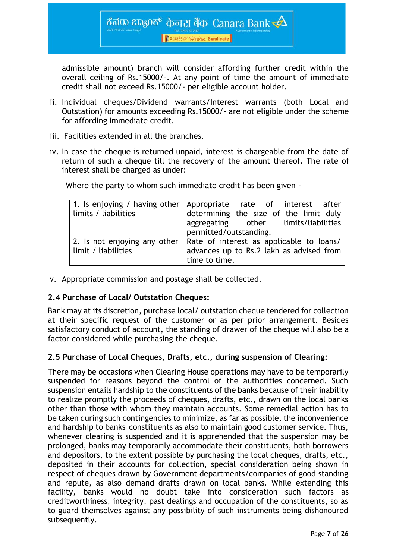<mark>।</mark> ਇਹ ਅਤੇ ਇਸ ਵਿੱਚ Syndicate

ಕೆನರು ಬ್ಯಾಂಕ್ केनरा बैंक-Canara Bank  $\triangle$ 

admissible amount) branch will consider affording further credit within the overall ceiling of Rs.15000/-. At any point of time the amount of immediate credit shall not exceed Rs.15000/- per eligible account holder.

- ii. Individual cheques/Dividend warrants/Interest warrants (both Local and Outstation) for amounts exceeding Rs.15000/- are not eligible under the scheme for affording immediate credit.
- iii. Facilities extended in all the branches.
- iv. In case the cheque is returned unpaid, interest is chargeable from the date of return of such a cheque till the recovery of the amount thereof. The rate of interest shall be charged as under:

Where the party to whom such immediate credit has been given -

|                       | 1. Is enjoying / having other Appropriate rate of interest after<br>limits / liabilities determining the size of the limit duly |
|-----------------------|---------------------------------------------------------------------------------------------------------------------------------|
|                       |                                                                                                                                 |
|                       | aggregating other limits/liabilities                                                                                            |
|                       | permitted/outstanding.                                                                                                          |
|                       | 2. Is not enjoying any other   Rate of interest as applicable to loans/                                                         |
| l limit / liabilities | advances up to Rs.2 lakh as advised from                                                                                        |
|                       | time to time.                                                                                                                   |

v. Appropriate commission and postage shall be collected.

## **2.4 Purchase of Local/ Outstation Cheques:**

Bank may at its discretion, purchase local/ outstation cheque tendered for collection at their specific request of the customer or as per prior arrangement. Besides satisfactory conduct of account, the standing of drawer of the cheque will also be a factor considered while purchasing the cheque.

## **2.5 Purchase of Local Cheques, Drafts, etc., during suspension of Clearing:**

There may be occasions when Clearing House operations may have to be temporarily suspended for reasons beyond the control of the authorities concerned. Such suspension entails hardship to the constituents of the banks because of their inability to realize promptly the proceeds of cheques, drafts, etc., drawn on the local banks other than those with whom they maintain accounts. Some remedial action has to be taken during such contingencies to minimize, as far as possible, the inconvenience and hardship to banks' constituents as also to maintain good customer service. Thus, whenever clearing is suspended and it is apprehended that the suspension may be prolonged, banks may temporarily accommodate their constituents, both borrowers and depositors, to the extent possible by purchasing the local cheques, drafts, etc., deposited in their accounts for collection, special consideration being shown in respect of cheques drawn by Government departments/companies of good standing and repute, as also demand drafts drawn on local banks. While extending this facility, banks would no doubt take into consideration such factors as creditworthiness, integrity, past dealings and occupation of the constituents, so as to guard themselves against any possibility of such instruments being dishonoured subsequently.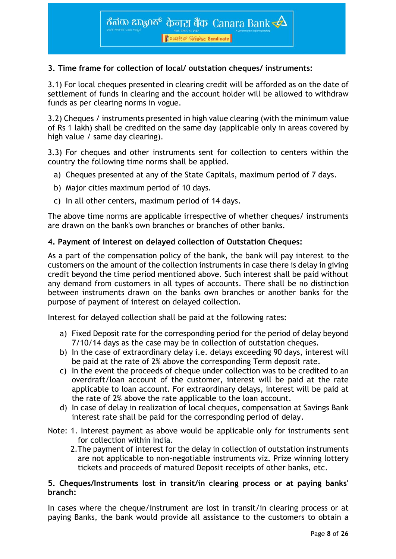## **3. Time frame for collection of local/ outstation cheques/ instruments:**

3.1) For local cheques presented in clearing credit will be afforded as on the date of settlement of funds in clearing and the account holder will be allowed to withdraw funds as per clearing norms in vogue.

3.2) Cheques / instruments presented in high value clearing (with the minimum value of Rs 1 lakh) shall be credited on the same day (applicable only in areas covered by high value / same day clearing).

3.3) For cheques and other instruments sent for collection to centers within the country the following time norms shall be applied.

- a) Cheques presented at any of the State Capitals, maximum period of 7 days.
- b) Major cities maximum period of 10 days.
- c) In all other centers, maximum period of 14 days.

The above time norms are applicable irrespective of whether cheques/ instruments are drawn on the bank's own branches or branches of other banks.

## **4. Payment of interest on delayed collection of Outstation Cheques:**

As a part of the compensation policy of the bank, the bank will pay interest to the customers on the amount of the collection instruments in case there is delay in giving credit beyond the time period mentioned above. Such interest shall be paid without any demand from customers in all types of accounts. There shall be no distinction between instruments drawn on the banks own branches or another banks for the purpose of payment of interest on delayed collection.

Interest for delayed collection shall be paid at the following rates:

- a) Fixed Deposit rate for the corresponding period for the period of delay beyond 7/10/14 days as the case may be in collection of outstation cheques.
- b) In the case of extraordinary delay i.e. delays exceeding 90 days, interest will be paid at the rate of 2% above the corresponding Term deposit rate.
- c) In the event the proceeds of cheque under collection was to be credited to an overdraft/loan account of the customer, interest will be paid at the rate applicable to loan account. For extraordinary delays, interest will be paid at the rate of 2% above the rate applicable to the loan account.
- d) In case of delay in realization of local cheques, compensation at Savings Bank interest rate shall be paid for the corresponding period of delay.
- Note: 1. Interest payment as above would be applicable only for instruments sent for collection within India.
	- 2.The payment of interest for the delay in collection of outstation instruments are not applicable to non-negotiable instruments viz. Prize winning lottery tickets and proceeds of matured Deposit receipts of other banks, etc.

#### **5. Cheques/Instruments lost in transit/in clearing process or at paying banks' branch:**

In cases where the cheque/instrument are lost in transit/in clearing process or at paying Banks, the bank would provide all assistance to the customers to obtain a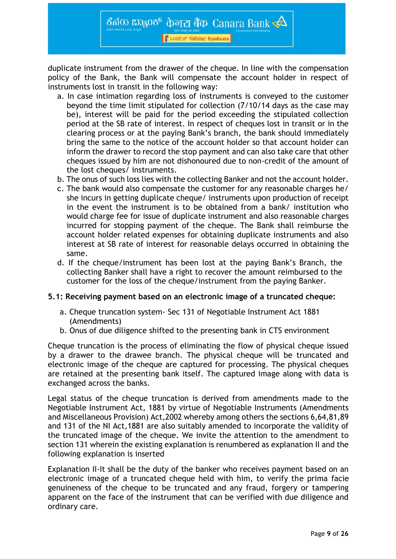duplicate instrument from the drawer of the cheque. In line with the compensation policy of the Bank, the Bank will compensate the account holder in respect of instruments lost in transit in the following way:

- a. In case intimation regarding loss of instruments is conveyed to the customer beyond the time limit stipulated for collection (7/10/14 days as the case may be), interest will be paid for the period exceeding the stipulated collection period at the SB rate of interest. In respect of cheques lost in transit or in the clearing process or at the paying Bank's branch, the bank should immediately bring the same to the notice of the account holder so that account holder can inform the drawer to record the stop payment and can also take care that other cheques issued by him are not dishonoured due to non-credit of the amount of the lost cheques/ instruments.
- b. The onus of such loss lies with the collecting Banker and not the account holder.
- c. The bank would also compensate the customer for any reasonable charges he/ she incurs in getting duplicate cheque/ instruments upon production of receipt in the event the instrument is to be obtained from a bank/ institution who would charge fee for issue of duplicate instrument and also reasonable charges incurred for stopping payment of the cheque. The Bank shall reimburse the account holder related expenses for obtaining duplicate instruments and also interest at SB rate of interest for reasonable delays occurred in obtaining the same.
- d. If the cheque/instrument has been lost at the paying Bank's Branch, the collecting Banker shall have a right to recover the amount reimbursed to the customer for the loss of the cheque/instrument from the paying Banker.

## **5.1: Receiving payment based on an electronic image of a truncated cheque:**

- a. Cheque truncation system- Sec 131 of Negotiable Instrument Act 1881 (Amendments)
- b. Onus of due diligence shifted to the presenting bank in CTS environment

Cheque truncation is the process of eliminating the flow of physical cheque issued by a drawer to the drawee branch. The physical cheque will be truncated and electronic image of the cheque are captured for processing. The physical cheques are retained at the presenting bank itself. The captured image along with data is exchanged across the banks.

Legal status of the cheque truncation is derived from amendments made to the Negotiable Instrument Act, 1881 by virtue of Negotiable Instruments (Amendments and Miscellaneous Provision) Act,2002 whereby among others the sections 6,64,81,89 and 131 of the NI Act,1881 are also suitably amended to incorporate the validity of the truncated image of the cheque. We invite the attention to the amendment to section 131 wherein the existing explanation is renumbered as explanation II and the following explanation is inserted

Explanation II-It shall be the duty of the banker who receives payment based on an electronic image of a truncated cheque held with him, to verify the prima facie genuineness of the cheque to be truncated and any fraud, forgery or tampering apparent on the face of the instrument that can be verified with due diligence and ordinary care.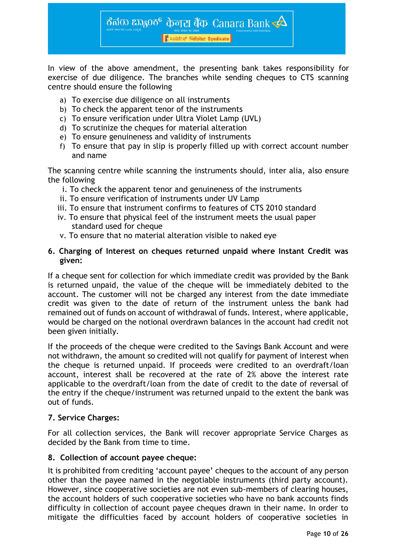In view of the above amendment, the presenting bank takes responsibility for exercise of due diligence. The branches while sending cheques to CTS scanning centre should ensure the following

ಕೆನರು ಬ್ಯಾಂಕ್ केनरा बैंक-Canara Bank  $\triangle$ 

<mark>।</mark> ਇਹ ਅਤੇ ਇਸ ਵਿੱਚ Syndicate

- a) To exercise due diligence on all instruments
- b) To check the apparent tenor of the instruments
- c) To ensure verification under Ultra Violet Lamp (UVL)
- d) To scrutinize the cheques for material alteration
- e) To ensure genuineness and validity of instruments
- f) To ensure that pay in slip is properly filled up with correct account number and name

The scanning centre while scanning the instruments should, inter alia, also ensure the following

- i. To check the apparent tenor and genuineness of the instruments
- ii. To ensure verification of instruments under UV Lamp
- iii. To ensure that instrument confirms to features of CTS 2010 standard
- iv. To ensure that physical feel of the instrument meets the usual paper standard used for cheque
- v. To ensure that no material alteration visible to naked eye

#### **6. Charging of Interest on cheques returned unpaid where Instant Credit was given:**

If a cheque sent for collection for which immediate credit was provided by the Bank is returned unpaid, the value of the cheque will be immediately debited to the account. The customer will not be charged any interest from the date immediate credit was given to the date of return of the instrument unless the bank had remained out of funds on account of withdrawal of funds. Interest, where applicable, would be charged on the notional overdrawn balances in the account had credit not been given initially.

If the proceeds of the cheque were credited to the Savings Bank Account and were not withdrawn, the amount so credited will not qualify for payment of interest when the cheque is returned unpaid. If proceeds were credited to an overdraft/loan account, interest shall be recovered at the rate of 2% above the interest rate applicable to the overdraft/loan from the date of credit to the date of reversal of the entry if the cheque/instrument was returned unpaid to the extent the bank was out of funds.

## **7. Service Charges:**

For all collection services, the Bank will recover appropriate Service Charges as decided by the Bank from time to time.

#### **8. Collection of account payee cheque:**

It is prohibited from crediting 'account payee' cheques to the account of any person other than the payee named in the negotiable instruments (third party account). However, since cooperative societies are not even sub-members of clearing houses, the account holders of such cooperative societies who have no bank accounts finds difficulty in collection of account payee cheques drawn in their name. In order to mitigate the difficulties faced by account holders of cooperative societies in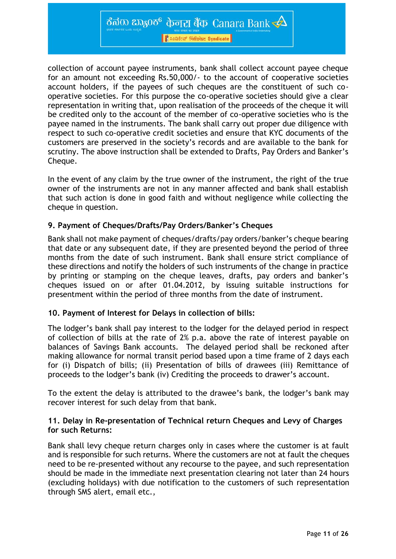ಕೆನರು ಬ್ಯಾಂಕ್ केनरा बैंक-Canara Bank  $\triangle$ 

<mark>।</mark> ਇਹ ਅਤੇ ਇਸ ਵਿੱਚ Syndicate

collection of account payee instruments, bank shall collect account payee cheque for an amount not exceeding Rs.50,000/- to the account of cooperative societies account holders, if the payees of such cheques are the constituent of such cooperative societies. For this purpose the co-operative societies should give a clear representation in writing that, upon realisation of the proceeds of the cheque it will be credited only to the account of the member of co-operative societies who is the payee named in the instruments. The bank shall carry out proper due diligence with respect to such co-operative credit societies and ensure that KYC documents of the customers are preserved in the society's records and are available to the bank for scrutiny. The above instruction shall be extended to Drafts, Pay Orders and Banker's Cheque.

In the event of any claim by the true owner of the instrument, the right of the true owner of the instruments are not in any manner affected and bank shall establish that such action is done in good faith and without negligence while collecting the cheque in question.

## **9. Payment of Cheques/Drafts/Pay Orders/Banker's Cheques**

Bank shall not make payment of cheques/drafts/pay orders/banker's cheque bearing that date or any subsequent date, if they are presented beyond the period of three months from the date of such instrument. Bank shall ensure strict compliance of these directions and notify the holders of such instruments of the change in practice by printing or stamping on the cheque leaves, drafts, pay orders and banker's cheques issued on or after 01.04.2012, by issuing suitable instructions for presentment within the period of three months from the date of instrument.

## **10. Payment of Interest for Delays in collection of bills:**

The lodger's bank shall pay interest to the lodger for the delayed period in respect of collection of bills at the rate of 2% p.a. above the rate of interest payable on balances of Savings Bank accounts. The delayed period shall be reckoned after making allowance for normal transit period based upon a time frame of 2 days each for (i) Dispatch of bills; (ii) Presentation of bills of drawees (iii) Remittance of proceeds to the lodger's bank (iv) Crediting the proceeds to drawer's account.

To the extent the delay is attributed to the drawee's bank, the lodger's bank may recover interest for such delay from that bank.

## **11. Delay in Re-presentation of Technical return Cheques and Levy of Charges for such Returns:**

Bank shall levy cheque return charges only in cases where the customer is at fault and is responsible for such returns. Where the customers are not at fault the cheques need to be re-presented without any recourse to the payee, and such representation should be made in the immediate next presentation clearing not later than 24 hours (excluding holidays) with due notification to the customers of such representation through SMS alert, email etc.,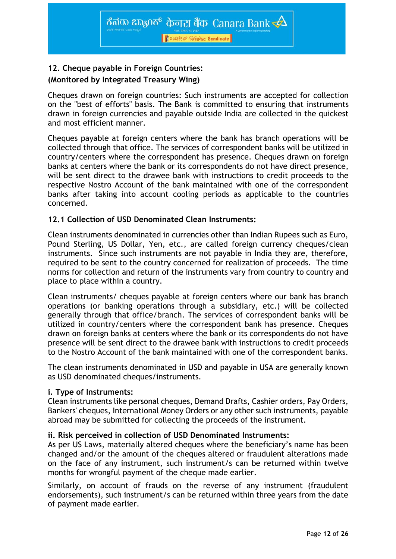## **12. Cheque payable in Foreign Countries: (Monitored by Integrated Treasury Wing)**

Cheques drawn on foreign countries: Such instruments are accepted for collection on the "best of efforts" basis. The Bank is committed to ensuring that instruments drawn in foreign currencies and payable outside India are collected in the quickest and most efficient manner.

Cheques payable at foreign centers where the bank has branch operations will be collected through that office. The services of correspondent banks will be utilized in country/centers where the correspondent has presence. Cheques drawn on foreign banks at centers where the bank or its correspondents do not have direct presence, will be sent direct to the drawee bank with instructions to credit proceeds to the respective Nostro Account of the bank maintained with one of the correspondent banks after taking into account cooling periods as applicable to the countries concerned.

## **12.1 Collection of USD Denominated Clean Instruments:**

Clean instruments denominated in currencies other than Indian Rupees such as Euro, Pound Sterling, US Dollar, Yen, etc., are called foreign currency cheques/clean instruments. Since such instruments are not payable in India they are, therefore, required to be sent to the country concerned for realization of proceeds. The time norms for collection and return of the instruments vary from country to country and place to place within a country.

Clean instruments/ cheques payable at foreign centers where our bank has branch operations (or banking operations through a subsidiary, etc.) will be collected generally through that office/branch. The services of correspondent banks will be utilized in country/centers where the correspondent bank has presence. Cheques drawn on foreign banks at centers where the bank or its correspondents do not have presence will be sent direct to the drawee bank with instructions to credit proceeds to the Nostro Account of the bank maintained with one of the correspondent banks.

The clean instruments denominated in USD and payable in USA are generally known as USD denominated cheques/instruments.

## **i. Type of Instruments:**

Clean instruments like personal cheques, Demand Drafts, Cashier orders, Pay Orders, Bankers' cheques, International Money Orders or any other such instruments, payable abroad may be submitted for collecting the proceeds of the instrument.

## **ii. Risk perceived in collection of USD Denominated Instruments:**

As per US Laws, materially altered cheques where the beneficiary's name has been changed and/or the amount of the cheques altered or fraudulent alterations made on the face of any instrument, such instrument/s can be returned within twelve months for wrongful payment of the cheque made earlier.

Similarly, on account of frauds on the reverse of any instrument (fraudulent endorsements), such instrument/s can be returned within three years from the date of payment made earlier.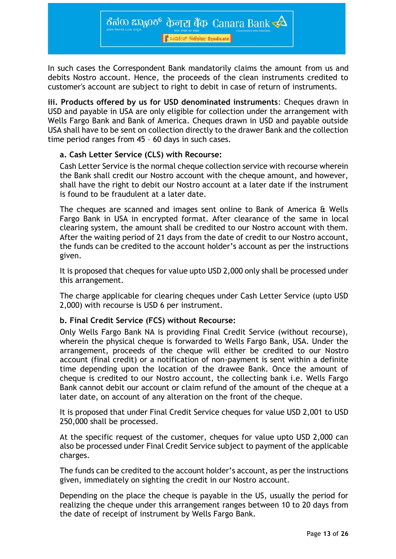<mark>।</mark> ਇਹ ਅਤੇ ਇਸ ਵਿੱਚ Syndicate

ಕೆನರು ಬ್ಯಾಂಕ್ केनरा बैंक-Canara Bank  $\triangle$ 

In such cases the Correspondent Bank mandatorily claims the amount from us and debits Nostro account. Hence, the proceeds of the clean instruments credited to customer's account are subject to right to debit in case of return of instruments.

**iii. Products offered by us for USD denominated instruments**: Cheques drawn in USD and payable in USA are only eligible for collection under the arrangement with Wells Fargo Bank and Bank of America. Cheques drawn in USD and payable outside USA shall have to be sent on collection directly to the drawer Bank and the collection time period ranges from 45 – 60 days in such cases.

#### **a. Cash Letter Service (CLS) with Recourse:**

Cash Letter Service is the normal cheque collection service with recourse wherein the Bank shall credit our Nostro account with the cheque amount, and however, shall have the right to debit our Nostro account at a later date if the instrument is found to be fraudulent at a later date.

The cheques are scanned and images sent online to Bank of America & Wells Fargo Bank in USA in encrypted format. After clearance of the same in local clearing system, the amount shall be credited to our Nostro account with them. After the waiting period of 21 days from the date of credit to our Nostro account, the funds can be credited to the account holder's account as per the instructions given.

It is proposed that cheques for value upto USD 2,000 only shall be processed under this arrangement.

The charge applicable for clearing cheques under Cash Letter Service (upto USD 2,000) with recourse is USD 6 per instrument.

## **b. Final Credit Service (FCS) without Recourse:**

Only Wells Fargo Bank NA is providing Final Credit Service (without recourse), wherein the physical cheque is forwarded to Wells Fargo Bank, USA. Under the arrangement, proceeds of the cheque will either be credited to our Nostro account (final credit) or a notification of non-payment is sent within a definite time depending upon the location of the drawee Bank. Once the amount of cheque is credited to our Nostro account, the collecting bank i.e. Wells Fargo Bank cannot debit our account or claim refund of the amount of the cheque at a later date, on account of any alteration on the front of the cheque.

It is proposed that under Final Credit Service cheques for value USD 2,001 to USD 250,000 shall be processed.

At the specific request of the customer, cheques for value upto USD 2,000 can also be processed under Final Credit Service subject to payment of the applicable charges.

The funds can be credited to the account holder's account, as per the instructions given, immediately on sighting the credit in our Nostro account.

Depending on the place the cheque is payable in the US, usually the period for realizing the cheque under this arrangement ranges between 10 to 20 days from the date of receipt of instrument by Wells Fargo Bank.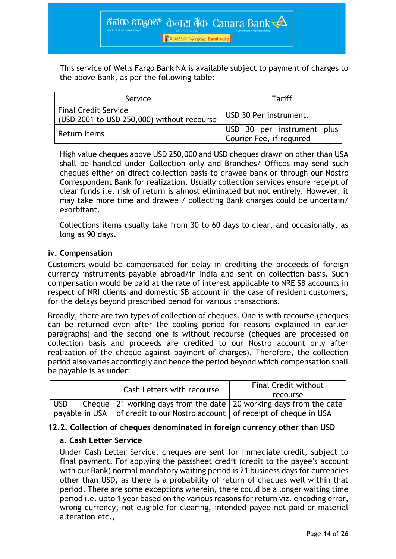This service of Wells Fargo Bank NA is available subject to payment of charges to the above Bank, as per the following table:

| Service                                                            | Tariff                                                 |
|--------------------------------------------------------------------|--------------------------------------------------------|
| Final Credit Service<br>(USD 2001 to USD 250,000) without recourse | USD 30 Per instrument.                                 |
| Return Items                                                       | USD 30 per instrument plus<br>Courier Fee, if required |

High value cheques above USD 250,000 and USD cheques drawn on other than USA shall be handled under Collection only and Branches/ Offices may send such cheques either on direct collection basis to drawee bank or through our Nostro Correspondent Bank for realization. Usually collection services ensure receipt of clear funds i.e. risk of return is almost eliminated but not entirely. However, it may take more time and drawee / collecting Bank charges could be uncertain/ exorbitant.

Collections items usually take from 30 to 60 days to clear, and occasionally, as long as 90 days.

## **iv. Compensation**

Customers would be compensated for delay in crediting the proceeds of foreign currency instruments payable abroad/in India and sent on collection basis. Such compensation would be paid at the rate of interest applicable to NRE SB accounts in respect of NRI clients and domestic SB account in the case of resident customers, for the delays beyond prescribed period for various transactions.

Broadly, there are two types of collection of cheques. One is with recourse (cheques can be returned even after the cooling period for reasons explained in earlier paragraphs) and the second one is without recourse (cheques are processed on collection basis and proceeds are credited to our Nostro account only after realization of the cheque against payment of charges). Therefore, the collection period also varies accordingly and hence the period beyond which compensation shall be payable is as under:

|            | Cash Letters with recourse                                                                 | <b>Final Credit without</b> |
|------------|--------------------------------------------------------------------------------------------|-----------------------------|
|            |                                                                                            | recourse                    |
| <b>USD</b> | Cheque   21 working days from the date   20 working days from the date                     |                             |
|            | payable in USA $\vert$ of credit to our Nostro account $\vert$ of receipt of cheque in USA |                             |

## **12.2. Collection of cheques denominated in foreign currency other than USD**

## **a. Cash Letter Service**

Under Cash Letter Service, cheques are sent for immediate credit, subject to final payment. For applying the passsheet credit (credit to the payee's account with our Bank) normal mandatory waiting period is 21 business days for currencies other than USD, as there is a probability of return of cheques well within that period. There are some exceptions wherein, there could be a longer waiting time period i.e. upto 1 year based on the various reasons for return viz. encoding error, wrong currency, not eligible for clearing, intended payee not paid or material alteration etc.,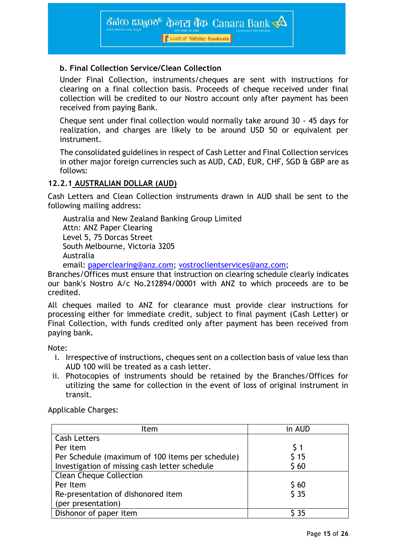

## **b. Final Collection Service/Clean Collection**

Under Final Collection, instruments/cheques are sent with instructions for clearing on a final collection basis. Proceeds of cheque received under final collection will be credited to our Nostro account only after payment has been received from paying Bank.

Cheque sent under final collection would normally take around 30 - 45 days for realization, and charges are likely to be around USD 50 or equivalent per instrument.

The consolidated guidelines in respect of Cash Letter and Final Collection services in other major foreign currencies such as AUD, CAD, EUR, CHF, SGD & GBP are as follows:

## **12.2.1 AUSTRALIAN DOLLAR (AUD)**

Cash Letters and Clean Collection instruments drawn in AUD shall be sent to the following mailing address:

Australia and New Zealand Banking Group Limited Attn: ANZ Paper Clearing Level 5, 75 Dorcas Street South Melbourne, Victoria 3205 Australia

email: [paperclearing@anz.com;](mailto:paperclearing@anz.com) [vostroclientservices@anz.com;](mailto:vostroclientservices@anz.com)

Branches/Offices must ensure that instruction on clearing schedule clearly indicates our bank's Nostro A/c No.212894/00001 with ANZ to which proceeds are to be credited.

All cheques mailed to ANZ for clearance must provide clear instructions for processing either for immediate credit, subject to final payment (Cash Letter) or Final Collection, with funds credited only after payment has been received from paying bank.

## Note:

- i. Irrespective of instructions, cheques sent on a collection basis of value less than AUD 100 will be treated as a cash letter.
- ii. Photocopies of instruments should be retained by the Branches/Offices for utilizing the same for collection in the event of loss of original instrument in transit.

Applicable Charges:

| Item                                             | in AUD |
|--------------------------------------------------|--------|
| <b>Cash Letters</b>                              |        |
| Per item                                         | S 1    |
| Per Schedule (maximum of 100 items per schedule) | 515    |
| Investigation of missing cash letter schedule    | \$60   |
| <b>Clean Cheque Collection</b>                   |        |
| Per Item                                         | \$60   |
| Re-presentation of dishonored item               | 535    |
| (per presentation)                               |        |
| Dishonor of paper item                           | \$ 35  |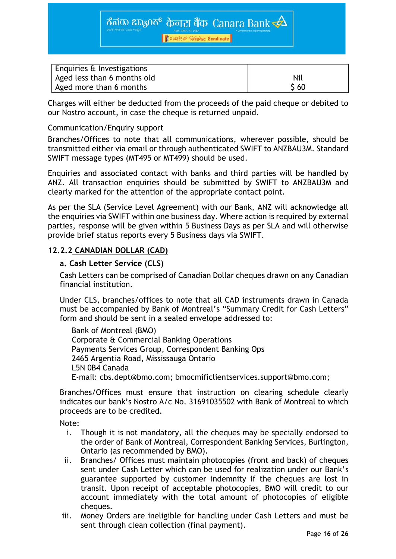ಕೆನರು ಬ್ಯಾಂಕ್ केनरा बैंक-Canara Bank  $\triangle$ 

<mark>।</mark> ਇਹ ਅਤੇ ਇਸ ਵਿੱਚ Syndicate

| Enquiries & Investigations  |      |
|-----------------------------|------|
| Aged less than 6 months old | Nil  |
| Aged more than 6 months     | \$60 |

Charges will either be deducted from the proceeds of the paid cheque or debited to our Nostro account, in case the cheque is returned unpaid.

## Communication/Enquiry support

Branches/Offices to note that all communications, wherever possible, should be transmitted either via email or through authenticated SWIFT to ANZBAU3M. Standard SWIFT message types (MT495 or MT499) should be used.

Enquiries and associated contact with banks and third parties will be handled by ANZ. All transaction enquiries should be submitted by SWIFT to ANZBAU3M and clearly marked for the attention of the appropriate contact point.

As per the SLA (Service Level Agreement) with our Bank, ANZ will acknowledge all the enquiries via SWIFT within one business day. Where action is required by external parties, response will be given within 5 Business Days as per SLA and will otherwise provide brief status reports every 5 Business days via SWIFT.

## **12.2.2 CANADIAN DOLLAR (CAD)**

## **a. Cash Letter Service (CLS)**

Cash Letters can be comprised of Canadian Dollar cheques drawn on any Canadian financial institution.

Under CLS, branches/offices to note that all CAD instruments drawn in Canada must be accompanied by Bank of Montreal's "Summary Credit for Cash Letters" form and should be sent in a sealed envelope addressed to:

 Bank of Montreal (BMO) Corporate & Commercial Banking Operations Payments Services Group, Correspondent Banking Ops 2465 Argentia Road, Mississauga Ontario L5N 0B4 Canada E-mail: [cbs.dept@bmo.com;](mailto:cbs.dept@bmo.com) [bmocmificlientservices.support@bmo.com;](mailto:bmocmificlientservices.support@bmo.com)

Branches/Offices must ensure that instruction on clearing schedule clearly indicates our bank's Nostro A/c No. 31691035502 with Bank of Montreal to which proceeds are to be credited.

Note:

- i. Though it is not mandatory, all the cheques may be specially endorsed to the order of Bank of Montreal, Correspondent Banking Services, Burlington, Ontario (as recommended by BMO).
- ii. Branches/ Offices must maintain photocopies (front and back) of cheques sent under Cash Letter which can be used for realization under our Bank's guarantee supported by customer indemnity if the cheques are lost in transit. Upon receipt of acceptable photocopies, BMO will credit to our account immediately with the total amount of photocopies of eligible cheques.
- iii. Money Orders are ineligible for handling under Cash Letters and must be sent through clean collection (final payment).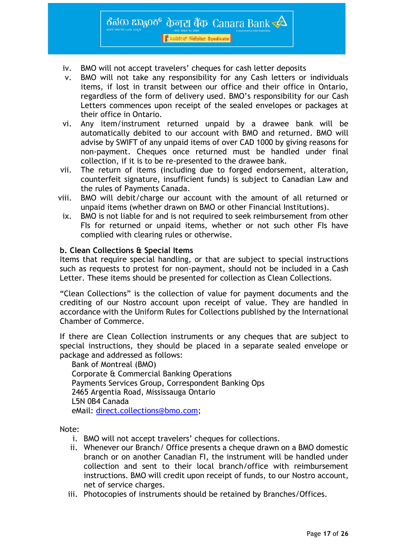

- iv. BMO will not accept travelers' cheques for cash letter deposits
- v. BMO will not take any responsibility for any Cash letters or individuals items, if lost in transit between our office and their office in Ontario, regardless of the form of delivery used. BMO's responsibility for our Cash Letters commences upon receipt of the sealed envelopes or packages at their office in Ontario.
- vi. Any item/instrument returned unpaid by a drawee bank will be automatically debited to our account with BMO and returned. BMO will advise by SWIFT of any unpaid items of over CAD 1000 by giving reasons for non-payment. Cheques once returned must be handled under final collection, if it is to be re-presented to the drawee bank.
- vii. The return of items (including due to forged endorsement, alteration, counterfeit signature, insufficient funds) is subject to Canadian Law and the rules of Payments Canada.
- viii. BMO will debit/charge our account with the amount of all returned or unpaid items (whether drawn on BMO or other Financial Institutions).
- ix. BMO is not liable for and is not required to seek reimbursement from other FIs for returned or unpaid items, whether or not such other FIs have complied with clearing rules or otherwise.

#### **b. Clean Collections & Special Items**

Items that require special handling, or that are subject to special instructions such as requests to protest for non-payment, should not be included in a Cash Letter. These items should be presented for collection as Clean Collections.

"Clean Collections" is the collection of value for payment documents and the crediting of our Nostro account upon receipt of value. They are handled in accordance with the Uniform Rules for Collections published by the International Chamber of Commerce.

If there are Clean Collection instruments or any cheques that are subject to special instructions, they should be placed in a separate sealed envelope or package and addressed as follows:

 Bank of Montreal (BMO) Corporate & Commercial Banking Operations Payments Services Group, Correspondent Banking Ops 2465 Argentia Road, Mississauga Ontario L5N 0B4 Canada eMail: [direct.collections@bmo.com;](mailto:direct.collections@bmo.com)

Note:

- i. BMO will not accept travelers' cheques for collections.
- ii. Whenever our Branch/ Office presents a cheque drawn on a BMO domestic branch or on another Canadian FI, the instrument will be handled under collection and sent to their local branch/office with reimbursement instructions. BMO will credit upon receipt of funds, to our Nostro account, net of service charges.
- iii. Photocopies of instruments should be retained by Branches/Offices.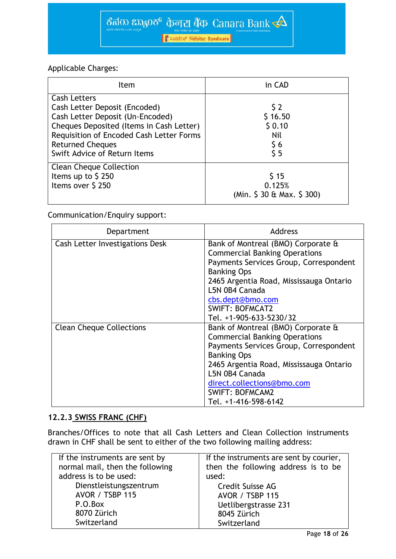

## Applicable Charges:

| Item                                                                                                                                                                                                                                        | in CAD                                      |
|---------------------------------------------------------------------------------------------------------------------------------------------------------------------------------------------------------------------------------------------|---------------------------------------------|
| <b>Cash Letters</b><br>Cash Letter Deposit (Encoded)<br>Cash Letter Deposit (Un-Encoded)<br>Cheques Deposited (Items in Cash Letter)<br>Requisition of Encoded Cash Letter Forms<br><b>Returned Cheques</b><br>Swift Advice of Return Items | 52<br>\$16.50<br>\$0.10<br>Nil<br>\$6<br>55 |
| <b>Clean Cheque Collection</b><br>Items up to \$250<br>Items over \$250                                                                                                                                                                     | 515<br>0.125%<br>(Min. \$ 30 & Max. \$ 300) |

## Communication/Enquiry support:

| Department                      | <b>Address</b>                                                                                                                                                                                                                                                                          |
|---------------------------------|-----------------------------------------------------------------------------------------------------------------------------------------------------------------------------------------------------------------------------------------------------------------------------------------|
| Cash Letter Investigations Desk | Bank of Montreal (BMO) Corporate &<br><b>Commercial Banking Operations</b><br>Payments Services Group, Correspondent<br><b>Banking Ops</b><br>2465 Argentia Road, Mississauga Ontario<br>L5N 0B4 Canada<br>cbs.dept@bmo.com<br><b>SWIFT: BOFMCAT2</b><br>Tel. +1-905-633-5230/32        |
| <b>Clean Cheque Collections</b> | Bank of Montreal (BMO) Corporate &<br><b>Commercial Banking Operations</b><br>Payments Services Group, Correspondent<br><b>Banking Ops</b><br>2465 Argentia Road, Mississauga Ontario<br>L5N 0B4 Canada<br>direct.collections@bmo.com<br><b>SWIFT: BOFMCAM2</b><br>Tel. +1-416-598-6142 |

## **12.2.3 SWISS FRANC (CHF)**

Branches/Offices to note that all Cash Letters and Clean Collection instruments drawn in CHF shall be sent to either of the two following mailing address:

| If the instruments are sent by  | If the instruments are sent by courier, |
|---------------------------------|-----------------------------------------|
| normal mail, then the following | then the following address is to be     |
| address is to be used:          | used:                                   |
| Dienstleistungszentrum          | Credit Suisse AG                        |
| <b>AVOR / TSBP 115</b>          | <b>AVOR / TSBP 115</b>                  |
| P.O.Box                         | Uetlibergstrasse 231                    |
| 8070 Zürich                     | 8045 Zürich                             |
| Switzerland                     | Switzerland                             |
|                                 |                                         |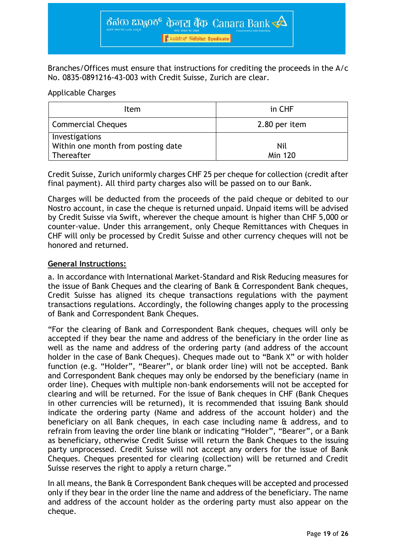

Branches/Offices must ensure that instructions for crediting the proceeds in the A/c No. 0835-0891216-43-003 with Credit Suisse, Zurich are clear.

#### Applicable Charges

| Item                                                               | in CHF                |
|--------------------------------------------------------------------|-----------------------|
| <b>Commercial Cheques</b>                                          | 2.80 per item         |
| Investigations<br>Within one month from posting date<br>Thereafter | Nil<br><b>Min 120</b> |

Credit Suisse, Zurich uniformly charges CHF 25 per cheque for collection (credit after final payment). All third party charges also will be passed on to our Bank.

Charges will be deducted from the proceeds of the paid cheque or debited to our Nostro account, in case the cheque is returned unpaid. Unpaid items will be advised by Credit Suisse via Swift, wherever the cheque amount is higher than CHF 5,000 or counter-value. Under this arrangement, only Cheque Remittances with Cheques in CHF will only be processed by Credit Suisse and other currency cheques will not be honored and returned.

## **General Instructions:**

a. In accordance with International Market-Standard and Risk Reducing measures for the issue of Bank Cheques and the clearing of Bank & Correspondent Bank cheques, Credit Suisse has aligned its cheque transactions regulations with the payment transactions regulations. Accordingly, the following changes apply to the processing of Bank and Correspondent Bank Cheques.

"For the clearing of Bank and Correspondent Bank cheques, cheques will only be accepted if they bear the name and address of the beneficiary in the order line as well as the name and address of the ordering party (and address of the account holder in the case of Bank Cheques). Cheques made out to "Bank X" or with holder function (e.g. "Holder", "Bearer", or blank order line) will not be accepted. Bank and Correspondent Bank cheques may only be endorsed by the beneficiary (name in order line). Cheques with multiple non-bank endorsements will not be accepted for clearing and will be returned. For the issue of Bank cheques in CHF (Bank Cheques in other currencies will be returned), it is recommended that issuing Bank should indicate the ordering party (Name and address of the account holder) and the beneficiary on all Bank cheques, in each case including name & address, and to refrain from leaving the order line blank or indicating "Holder", "Bearer", or a Bank as beneficiary, otherwise Credit Suisse will return the Bank Cheques to the issuing party unprocessed. Credit Suisse will not accept any orders for the issue of Bank Cheques. Cheques presented for clearing (collection) will be returned and Credit Suisse reserves the right to apply a return charge."

In all means, the Bank & Correspondent Bank cheques will be accepted and processed only if they bear in the order line the name and address of the beneficiary. The name and address of the account holder as the ordering party must also appear on the cheque.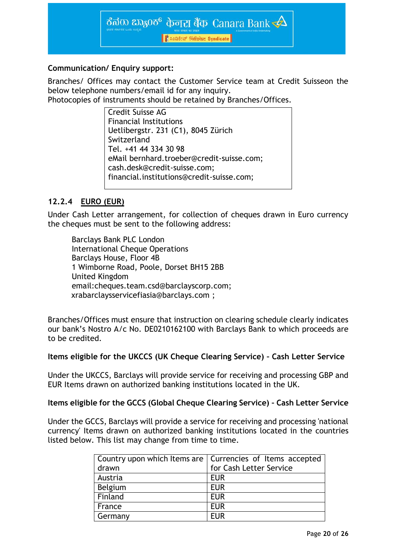

## **Communication/ Enquiry support:**

Branches/ Offices may contact the Customer Service team at Credit Suisseon the below telephone numbers/email id for any inquiry.

Photocopies of instruments should be retained by Branches/Offices.

Credit Suisse AG Financial Institutions Uetlibergstr. 231 (C1), 8045 Zürich Switzerland Tel. +41 44 334 30 98 eMail [bernhard.troeber@credit-suisse.com;](mailto:bernhard.troeber@credit-suisse.com) [cash.desk@credit-suisse.com;](mailto:cash.desk@credit-suisse.com) [financial.institutions@credit-suisse.com;](mailto:financial.institutions@credit-suisse.com)

## **12.2.4 EURO (EUR)**

Under Cash Letter arrangement, for collection of cheques drawn in Euro currency the cheques must be sent to the following address:

Barclays Bank PLC London International Cheque Operations Barclays House, Floor 4B 1 Wimborne Road, Poole, Dorset BH15 2BB United Kingdom email[:cheques.team.csd@barclayscorp.com;](mailto:cheques.team.csd@barclayscorp.com) [xrabarclaysservicefiasia@barclays.com](mailto:xrabarclaysservicefiasia@barclays.com) ;

Branches/Offices must ensure that instruction on clearing schedule clearly indicates our bank's Nostro A/c No. DE0210162100 with Barclays Bank to which proceeds are to be credited.

## **Items eligible for the UKCCS (UK Cheque Clearing Service) – Cash Letter Service**

Under the UKCCS, Barclays will provide service for receiving and processing GBP and EUR Items drawn on authorized banking institutions located in the UK.

## **Items eligible for the GCCS (Global Cheque Clearing Service) – Cash Letter Service**

Under the GCCS, Barclays will provide a service for receiving and processing 'national currency' Items drawn on authorized banking institutions located in the countries listed below. This list may change from time to time.

|         | Country upon which Items are   Currencies of Items accepted |  |
|---------|-------------------------------------------------------------|--|
| drawn   | for Cash Letter Service                                     |  |
| Austria | <b>EUR</b>                                                  |  |
| Belgium | <b>EUR</b>                                                  |  |
| Finland | <b>EUR</b>                                                  |  |
| France  | <b>EUR</b>                                                  |  |
| Germany | <b>FUR</b>                                                  |  |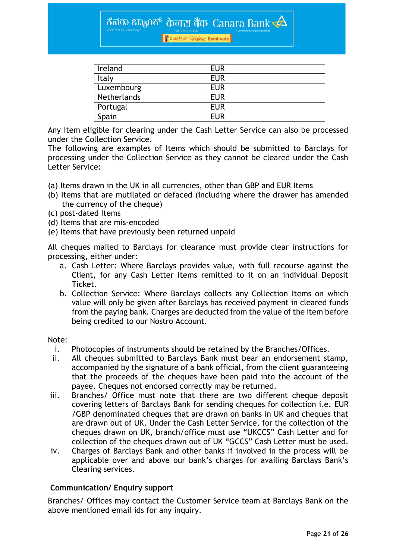ಕೆನರು ಬ್ಯಾಂಕ್ केनरा बैंक-Canara Bank  $\triangle$ 

| | Loustur Fire az Syndicate

| Ireland     | <b>EUR</b> |
|-------------|------------|
| Italy       | <b>EUR</b> |
| Luxembourg  | <b>EUR</b> |
| Netherlands | <b>EUR</b> |
| Portugal    | <b>EUR</b> |
| Spain       | <b>EUR</b> |

Any Item eligible for clearing under the Cash Letter Service can also be processed under the Collection Service.

The following are examples of Items which should be submitted to Barclays for processing under the Collection Service as they cannot be cleared under the Cash Letter Service:

- (a) Items drawn in the UK in all currencies, other than GBP and EUR Items
- (b) Items that are mutilated or defaced (including where the drawer has amended the currency of the cheque)
- (c) post-dated Items
- (d) Items that are mis-encoded
- (e) Items that have previously been returned unpaid

All cheques mailed to Barclays for clearance must provide clear instructions for processing, either under:

- a. Cash Letter: Where Barclays provides value, with full recourse against the Client, for any Cash Letter Items remitted to it on an individual Deposit Ticket.
- b. Collection Service: Where Barclays collects any Collection Items on which value will only be given after Barclays has received payment in cleared funds from the paying bank. Charges are deducted from the value of the item before being credited to our Nostro Account.

#### Note:

- i. Photocopies of instruments should be retained by the Branches/Offices.
- ii. All cheques submitted to Barclays Bank must bear an endorsement stamp, accompanied by the signature of a bank official, from the client guaranteeing that the proceeds of the cheques have been paid into the account of the payee. Cheques not endorsed correctly may be returned.
- iii. Branches/ Office must note that there are two different cheque deposit covering letters of Barclays Bank for sending cheques for collection i.e. EUR /GBP denominated cheques that are drawn on banks in UK and cheques that are drawn out of UK. Under the Cash Letter Service, for the collection of the cheques drawn on UK, branch/office must use "UKCCS" Cash Letter and for collection of the cheques drawn out of UK "GCCS" Cash Letter must be used.
- iv. Charges of Barclays Bank and other banks if involved in the process will be applicable over and above our bank's charges for availing Barclays Bank's Clearing services.

## **Communication/ Enquiry support**

Branches/ Offices may contact the Customer Service team at Barclays Bank on the above mentioned email ids for any inquiry.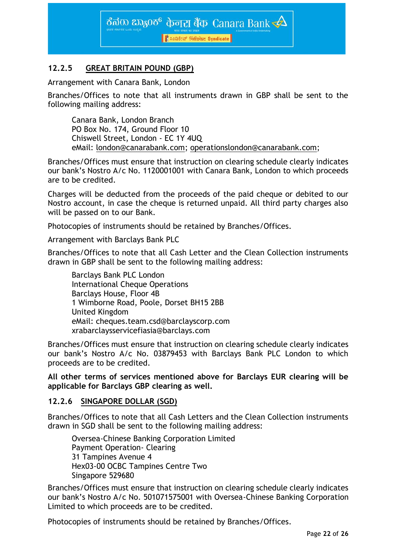

## **12.2.5 GREAT BRITAIN POUND (GBP)**

Arrangement with Canara Bank, London

Branches/Offices to note that all instruments drawn in GBP shall be sent to the following mailing address:

Canara Bank, London Branch PO Box No. 174, Ground Floor 10 Chiswell Street, London - EC 1Y 4UQ eMail: [london@canarabank.com;](mailto:london@canarabank.com) [operationslondon@canarabank.com;](mailto:operationslondon@canarabank.com)

Branches/Offices must ensure that instruction on clearing schedule clearly indicates our bank's Nostro A/c No. 1120001001 with Canara Bank, London to which proceeds are to be credited.

Charges will be deducted from the proceeds of the paid cheque or debited to our Nostro account, in case the cheque is returned unpaid. All third party charges also will be passed on to our Bank.

Photocopies of instruments should be retained by Branches/Offices.

Arrangement with Barclays Bank PLC

Branches/Offices to note that all Cash Letter and the Clean Collection instruments drawn in GBP shall be sent to the following mailing address:

Barclays Bank PLC London International Cheque Operations Barclays House, Floor 4B 1 Wimborne Road, Poole, Dorset BH15 2BB United Kingdom eMail: [cheques.team.csd@barclayscorp.com](mailto:cheques.team.csd@barclayscorp.com) [xrabarclaysservicefiasia@barclays.com](mailto:xrabarclaysservicefiasia@barclays.com)

Branches/Offices must ensure that instruction on clearing schedule clearly indicates our bank's Nostro A/c No. 03879453 with Barclays Bank PLC London to which proceeds are to be credited.

**All other terms of services mentioned above for Barclays EUR clearing will be applicable for Barclays GBP clearing as well.**

## **12.2.6 SINGAPORE DOLLAR (SGD)**

Branches/Offices to note that all Cash Letters and the Clean Collection instruments drawn in SGD shall be sent to the following mailing address:

Oversea-Chinese Banking Corporation Limited Payment Operation- Clearing 31 Tampines Avenue 4 Hex03-00 OCBC Tampines Centre Two Singapore 529680

Branches/Offices must ensure that instruction on clearing schedule clearly indicates our bank's Nostro A/c No. 501071575001 with Oversea-Chinese Banking Corporation Limited to which proceeds are to be credited.

Photocopies of instruments should be retained by Branches/Offices.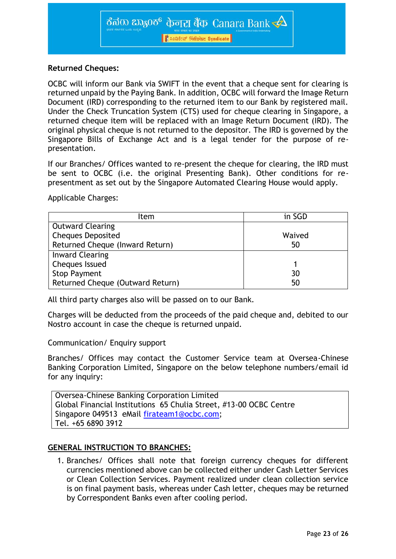

## **Returned Cheques:**

OCBC will inform our Bank via SWIFT in the event that a cheque sent for clearing is returned unpaid by the Paying Bank. In addition, OCBC will forward the Image Return Document (IRD) corresponding to the returned item to our Bank by registered mail. Under the Check Truncation System (CTS) used for cheque clearing in Singapore, a returned cheque item will be replaced with an Image Return Document (IRD). The original physical cheque is not returned to the depositor. The IRD is governed by the Singapore Bills of Exchange Act and is a legal tender for the purpose of representation.

If our Branches/ Offices wanted to re-present the cheque for clearing, the IRD must be sent to OCBC (i.e. the original Presenting Bank). Other conditions for representment as set out by the Singapore Automated Clearing House would apply.

Applicable Charges:

| Item                             | in SGD |
|----------------------------------|--------|
| <b>Outward Clearing</b>          |        |
| <b>Cheques Deposited</b>         | Waived |
| Returned Cheque (Inward Return)  | 50     |
| <b>Inward Clearing</b>           |        |
| <b>Cheques Issued</b>            |        |
| <b>Stop Payment</b>              | 30     |
| Returned Cheque (Outward Return) | 50     |

All third party charges also will be passed on to our Bank.

Charges will be deducted from the proceeds of the paid cheque and, debited to our Nostro account in case the cheque is returned unpaid.

Communication/ Enquiry support

Branches/ Offices may contact the Customer Service team at Oversea-Chinese Banking Corporation Limited, Singapore on the below telephone numbers/email id for any inquiry:

Oversea-Chinese Banking Corporation Limited Global Financial Institutions 65 Chulia Street, #13-00 OCBC Centre Singapore 049513 eMail [firateam1@ocbc.com;](mailto:firateam1@ocbc.com) Tel. +65 6890 3912

## **GENERAL INSTRUCTION TO BRANCHES:**

1. Branches/ Offices shall note that foreign currency cheques for different currencies mentioned above can be collected either under Cash Letter Services or Clean Collection Services. Payment realized under clean collection service is on final payment basis, whereas under Cash letter, cheques may be returned by Correspondent Banks even after cooling period.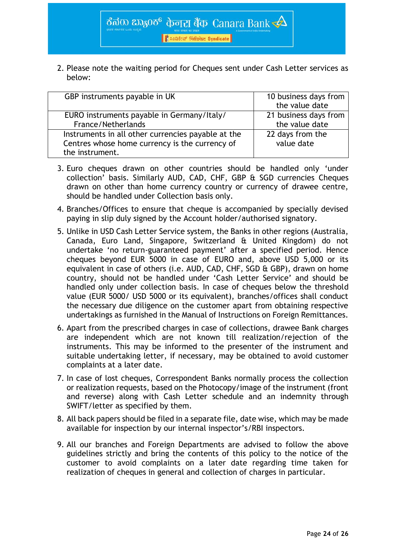

2. Please note the waiting period for Cheques sent under Cash Letter services as below:

| GBP instruments payable in UK                                                                                           | 10 business days from<br>the value date |
|-------------------------------------------------------------------------------------------------------------------------|-----------------------------------------|
| EURO instruments payable in Germany/Italy/<br>France/Netherlands                                                        | 21 business days from<br>the value date |
| Instruments in all other currencies payable at the<br>Centres whose home currency is the currency of<br>the instrument. | 22 days from the<br>value date          |

- 3. Euro cheques drawn on other countries should be handled only 'under collection' basis. Similarly AUD, CAD, CHF, GBP & SGD currencies Cheques drawn on other than home currency country or currency of drawee centre, should be handled under Collection basis only.
- 4. Branches/Offices to ensure that cheque is accompanied by specially devised paying in slip duly signed by the Account holder/authorised signatory.
- 5. Unlike in USD Cash Letter Service system, the Banks in other regions (Australia, Canada, Euro Land, Singapore, Switzerland & United Kingdom) do not undertake 'no return-guaranteed payment' after a specified period. Hence cheques beyond EUR 5000 in case of EURO and, above USD 5,000 or its equivalent in case of others (i.e. AUD, CAD, CHF, SGD & GBP), drawn on home country, should not be handled under 'Cash Letter Service' and should be handled only under collection basis. In case of cheques below the threshold value (EUR 5000/ USD 5000 or its equivalent), branches/offices shall conduct the necessary due diligence on the customer apart from obtaining respective undertakings as furnished in the Manual of Instructions on Foreign Remittances.
- 6. Apart from the prescribed charges in case of collections, drawee Bank charges are independent which are not known till realization/rejection of the instruments. This may be informed to the presenter of the instrument and suitable undertaking letter, if necessary, may be obtained to avoid customer complaints at a later date.
- 7. In case of lost cheques, Correspondent Banks normally process the collection or realization requests, based on the Photocopy/image of the instrument (front and reverse) along with Cash Letter schedule and an indemnity through SWIFT/letter as specified by them.
- 8. All back papers should be filed in a separate file, date wise, which may be made available for inspection by our internal inspector's/RBI inspectors.
- 9. All our branches and Foreign Departments are advised to follow the above guidelines strictly and bring the contents of this policy to the notice of the customer to avoid complaints on a later date regarding time taken for realization of cheques in general and collection of charges in particular.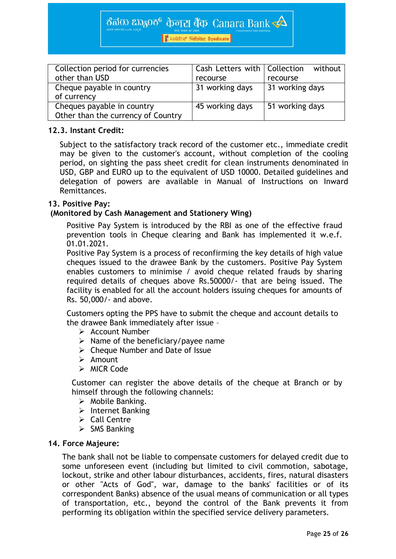ಕೆನರು ಬ್ಯಾಂಕ್ केनरा बैंक-Canara Bank  $\overline{\blacktriangle}$ 

| हैं 2028 हैं: सिंडिकेट Syndicate

| Collection period for currencies   | Cash Letters with   Collection | without         |
|------------------------------------|--------------------------------|-----------------|
| other than USD                     | recourse                       | recourse        |
| Cheque payable in country          | 31 working days                | 31 working days |
| of currency                        |                                |                 |
| Cheques payable in country         | 45 working days                | 51 working days |
| Other than the currency of Country |                                |                 |

#### **12.3. Instant Credit:**

Subject to the satisfactory track record of the customer etc., immediate credit may be given to the customer's account, without completion of the cooling period, on sighting the pass sheet credit for clean instruments denominated in USD, GBP and EURO up to the equivalent of USD 10000. Detailed guidelines and delegation of powers are available in Manual of Instructions on Inward Remittances.

#### **13. Positive Pay:**

#### **(Monitored by Cash Management and Stationery Wing)**

Positive Pay System is introduced by the RBI as one of the effective fraud prevention tools in Cheque clearing and Bank has implemented it w.e.f. 01.01.2021.

Positive Pay System is a process of reconfirming the key details of high value cheques issued to the drawee Bank by the customers. Positive Pay System enables customers to minimise / avoid cheque related frauds by sharing required details of cheques above Rs.50000/- that are being issued. The facility is enabled for all the account holders issuing cheques for amounts of Rs. 50,000/- and above.

Customers opting the PPS have to submit the cheque and account details to the drawee Bank immediately after issue –

- $\triangleright$  Account Number
- $\triangleright$  Name of the beneficiary/payee name
- $\triangleright$  Cheque Number and Date of Issue
- $\triangleright$  Amount
- $\triangleright$  MICR Code

Customer can register the above details of the cheque at Branch or by himself through the following channels:

- $\triangleright$  Mobile Banking.
- $\triangleright$  Internet Banking
- $\triangleright$  Call Centre
- $\triangleright$  SMS Banking

#### **14. Force Majeure:**

The bank shall not be liable to compensate customers for delayed credit due to some unforeseen event (including but limited to civil commotion, sabotage, lockout, strike and other labour disturbances, accidents, fires, natural disasters or other "Acts of God", war, damage to the banks' facilities or of its correspondent Banks) absence of the usual means of communication or all types of transportation, etc., beyond the control of the Bank prevents it from performing its obligation within the specified service delivery parameters.